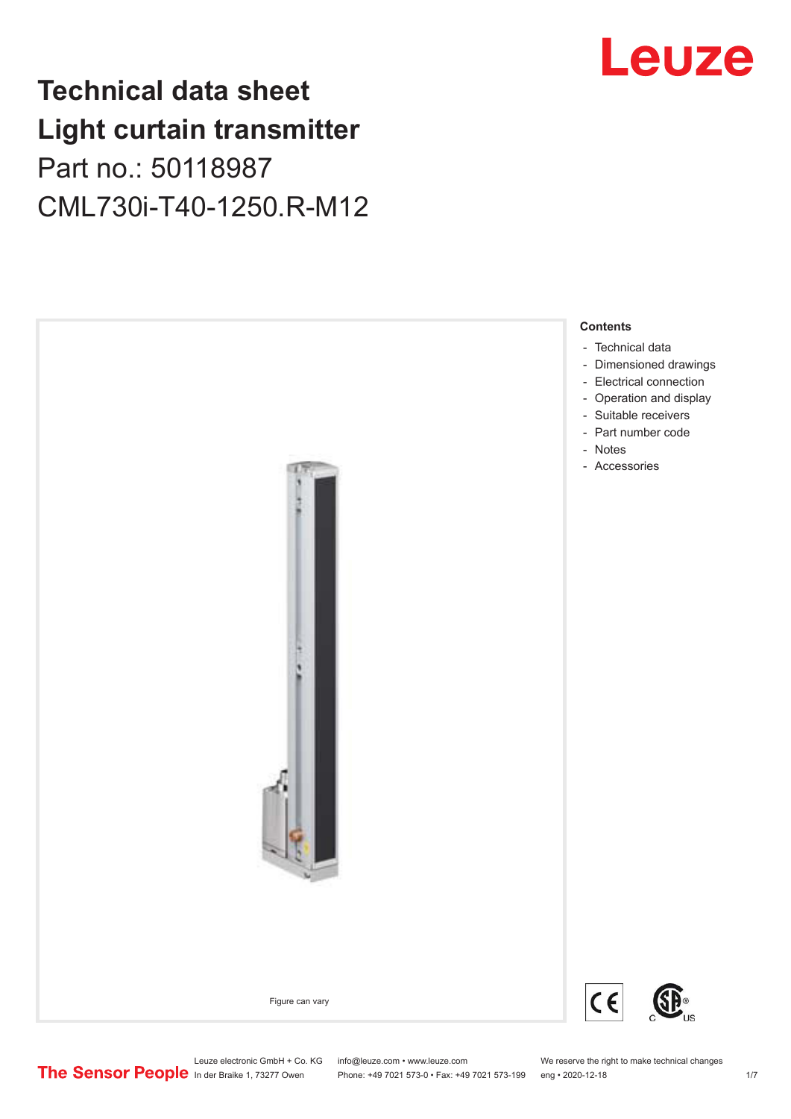## **Technical data sheet Light curtain transmitter** Part no.: 50118987 CML730i-T40-1250.R-M12





Leuze electronic GmbH + Co. KG info@leuze.com • www.leuze.com We reserve the right to make technical changes<br>
The Sensor People in der Braike 1, 73277 Owen Phone: +49 7021 573-0 • Fax: +49 7021 573-199 eng • 2020-12-18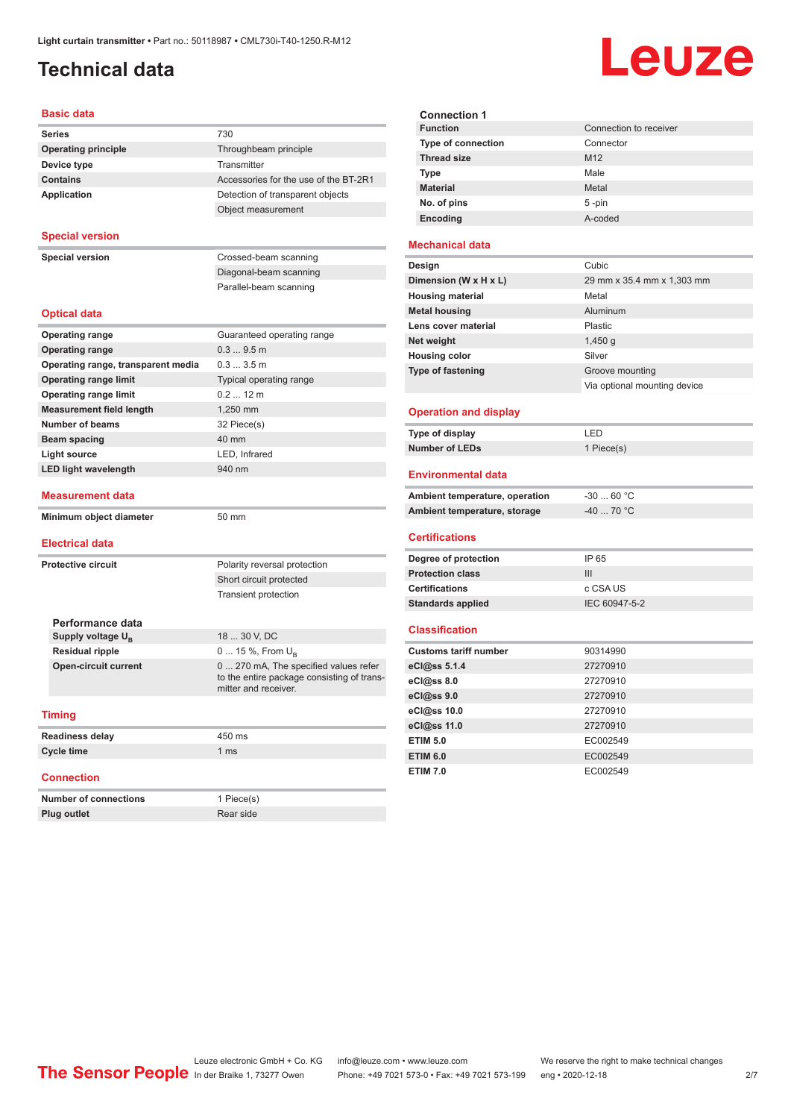## <span id="page-1-0"></span>**Technical data**

# Leuze

#### **Basic data**

| <b>Series</b>              | 730                                   |
|----------------------------|---------------------------------------|
| <b>Operating principle</b> | Throughbeam principle                 |
| Device type                | Transmitter                           |
| <b>Contains</b>            | Accessories for the use of the BT-2R1 |
| <b>Application</b>         | Detection of transparent objects      |
|                            | Object measurement                    |

#### **Special version**

**Special version** Crossed-beam scanning

Diagonal-beam scanning Parallel-beam scanning

#### **Optical data**

| <b>Operating range</b>             | Guaranteed operating range                                                                                  |  |
|------------------------------------|-------------------------------------------------------------------------------------------------------------|--|
| <b>Operating range</b>             | 0.39.5m                                                                                                     |  |
| Operating range, transparent media | 0.33.5m                                                                                                     |  |
| <b>Operating range limit</b>       | Typical operating range                                                                                     |  |
| <b>Operating range limit</b>       | $0.212$ m                                                                                                   |  |
| <b>Measurement field length</b>    | 1,250 mm                                                                                                    |  |
| Number of beams                    | 32 Piece(s)                                                                                                 |  |
| <b>Beam spacing</b>                | $40 \text{ mm}$                                                                                             |  |
| <b>Light source</b>                | LED, Infrared                                                                                               |  |
| <b>LED light wavelength</b>        | 940 nm                                                                                                      |  |
|                                    |                                                                                                             |  |
| <b>Measurement data</b>            |                                                                                                             |  |
| Minimum object diameter            | 50 mm                                                                                                       |  |
|                                    |                                                                                                             |  |
|                                    |                                                                                                             |  |
| <b>Electrical data</b>             |                                                                                                             |  |
| <b>Protective circuit</b>          | Polarity reversal protection                                                                                |  |
|                                    | Short circuit protected                                                                                     |  |
|                                    | <b>Transient protection</b>                                                                                 |  |
|                                    |                                                                                                             |  |
| Performance data                   |                                                                                                             |  |
| Supply voltage U <sub>B</sub>      | 18  30 V, DC                                                                                                |  |
| <b>Residual ripple</b>             | 0  15 %, From $U_{\rm B}$                                                                                   |  |
| <b>Open-circuit current</b>        | 0  270 mA, The specified values refer<br>to the entire package consisting of trans-<br>mitter and receiver. |  |

| <b>Readiness delay</b> | 450 ms          |
|------------------------|-----------------|
| Cycle time             | 1 <sub>ms</sub> |
|                        |                 |

#### **Connection**

| <b>Number of connections</b> | 1 Piece(s) |
|------------------------------|------------|
| <b>Plug outlet</b>           | Rear side  |

| <b>Connection 1</b>       |                        |
|---------------------------|------------------------|
| <b>Function</b>           | Connection to receiver |
| <b>Type of connection</b> | Connector              |
| <b>Thread size</b>        | M <sub>12</sub>        |
| <b>Type</b>               | Male                   |
| <b>Material</b>           | Metal                  |
| No. of pins               | $5 - pin$              |
| <b>Encoding</b>           | A-coded                |
|                           |                        |

#### **Mechanical data**

| Design                   | Cubic                        |
|--------------------------|------------------------------|
| Dimension (W x H x L)    | 29 mm x 35.4 mm x 1,303 mm   |
| <b>Housing material</b>  | Metal                        |
| <b>Metal housing</b>     | Aluminum                     |
| Lens cover material      | Plastic                      |
| Net weight               | 1,450q                       |
| <b>Housing color</b>     | Silver                       |
| <b>Type of fastening</b> | Groove mounting              |
|                          | Via optional mounting device |
|                          |                              |

#### **Operation and display**

| Type of display | ' FD.      |
|-----------------|------------|
| Number of LEDs  | 1 Piece(s) |

#### **Environmental data**

| Ambient temperature, operation | -30  60 °C |
|--------------------------------|------------|
| Ambient temperature, storage   | -40  70 °C |

#### **Certifications**

| Degree of protection     | IP 65         |
|--------------------------|---------------|
| <b>Protection class</b>  | Ш             |
| <b>Certifications</b>    | c CSA US      |
| <b>Standards applied</b> | IEC 60947-5-2 |

#### **Classification**

| <b>Customs tariff number</b> | 90314990 |
|------------------------------|----------|
| eCl@ss 5.1.4                 | 27270910 |
| eCl@ss 8.0                   | 27270910 |
| eCl@ss 9.0                   | 27270910 |
| eCl@ss 10.0                  | 27270910 |
| eCl@ss 11.0                  | 27270910 |
| <b>ETIM 5.0</b>              | EC002549 |
| <b>ETIM 6.0</b>              | EC002549 |
| <b>ETIM 7.0</b>              | EC002549 |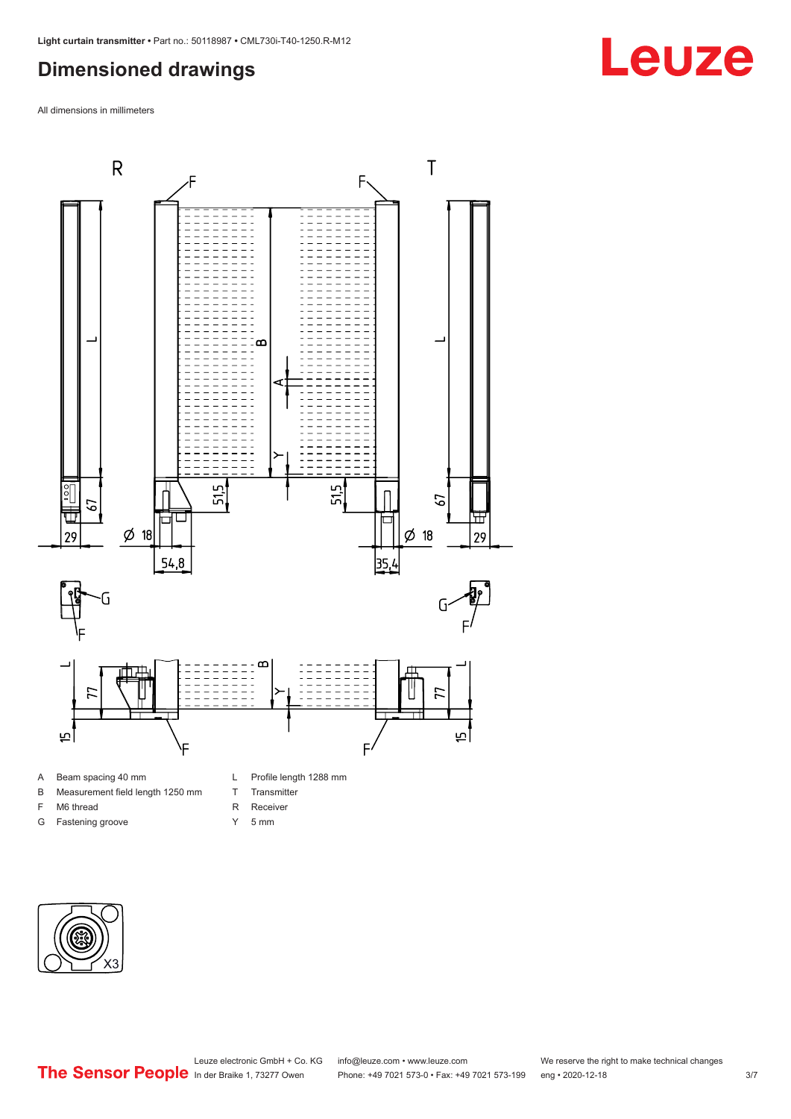## <span id="page-2-0"></span>**Dimensioned drawings**

All dimensions in millimeters



- A Beam spacing 40 mm
- B Measurement field length 1250 mm
- F M6 thread
- G Fastening groove
- T Transmitter
	-
- R Receiver
- Y 5 mm



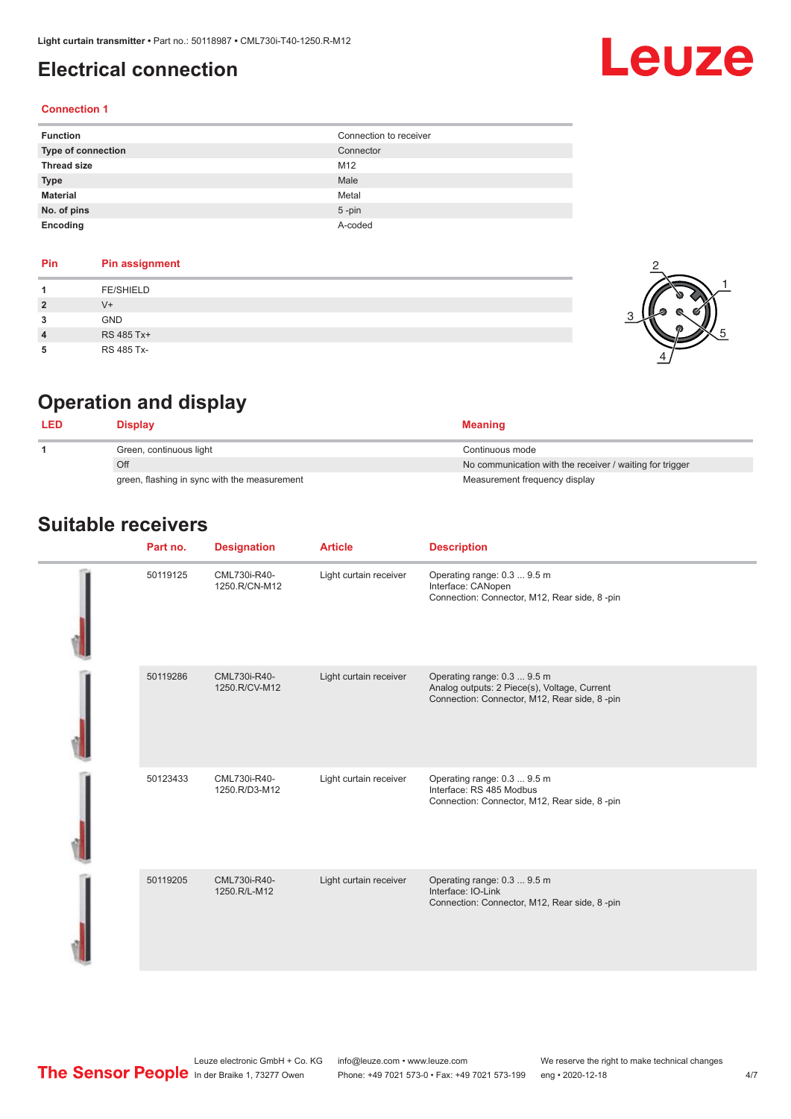## <span id="page-3-0"></span>**Electrical connection**

# Leuze

#### **Connection 1**

| <b>Function</b>    | Connection to receiver |
|--------------------|------------------------|
| Type of connection | Connector              |
| <b>Thread size</b> | M12                    |
| <b>Type</b>        | Male                   |
| <b>Material</b>    | Metal                  |
| No. of pins        | $5$ -pin               |
| Encoding           | A-coded                |

#### **Pin Pin assignment 1** FE/SHIELD **2** V+ **3** GND **4** RS 485 Tx+ **5** RS 485 Tx-



## **Operation and display**

|     | Display                                      | <b>Meaning</b>                                           |
|-----|----------------------------------------------|----------------------------------------------------------|
|     | Green, continuous light                      | Continuous mode                                          |
| Off |                                              | No communication with the receiver / waiting for trigger |
|     | green, flashing in sync with the measurement | Measurement frequency display                            |

### **Suitable receivers**

| Part no. | <b>Designation</b>            | <b>Article</b>         | <b>Description</b>                                                                                                          |
|----------|-------------------------------|------------------------|-----------------------------------------------------------------------------------------------------------------------------|
| 50119125 | CML730i-R40-<br>1250.R/CN-M12 | Light curtain receiver | Operating range: 0.3  9.5 m<br>Interface: CANopen<br>Connection: Connector, M12, Rear side, 8-pin                           |
| 50119286 | CML730i-R40-<br>1250.R/CV-M12 | Light curtain receiver | Operating range: 0.3  9.5 m<br>Analog outputs: 2 Piece(s), Voltage, Current<br>Connection: Connector, M12, Rear side, 8-pin |
| 50123433 | CML730i-R40-<br>1250.R/D3-M12 | Light curtain receiver | Operating range: 0.3  9.5 m<br>Interface: RS 485 Modbus<br>Connection: Connector, M12, Rear side, 8-pin                     |
| 50119205 | CML730i-R40-<br>1250.R/L-M12  | Light curtain receiver | Operating range: 0.3  9.5 m<br>Interface: IO-Link<br>Connection: Connector, M12, Rear side, 8-pin                           |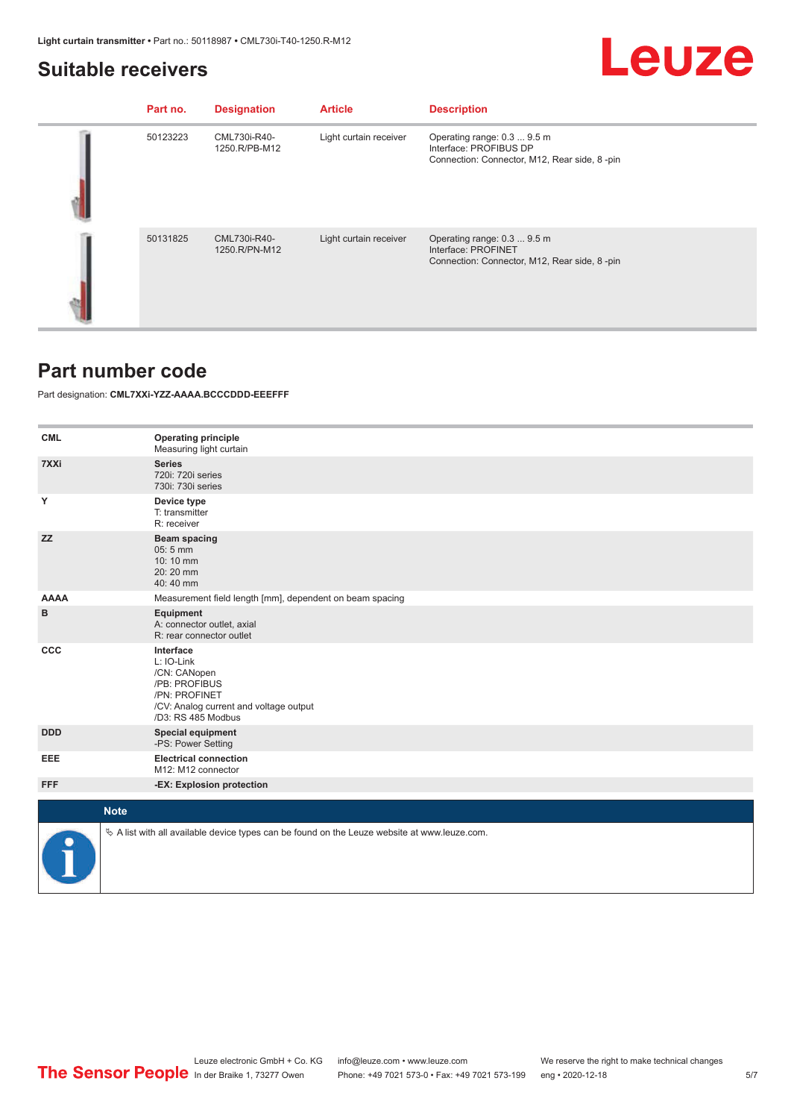### <span id="page-4-0"></span>**Suitable receivers**

## Leuze

| Part no. | <b>Designation</b>            | <b>Article</b>         | <b>Description</b>                                                                                    |
|----------|-------------------------------|------------------------|-------------------------------------------------------------------------------------------------------|
| 50123223 | CML730i-R40-<br>1250.R/PB-M12 | Light curtain receiver | Operating range: 0.3  9.5 m<br>Interface: PROFIBUS DP<br>Connection: Connector, M12, Rear side, 8-pin |
| 50131825 | CML730i-R40-<br>1250.R/PN-M12 | Light curtain receiver | Operating range: 0.3  9.5 m<br>Interface: PROFINET<br>Connection: Connector, M12, Rear side, 8-pin    |

### **Part number code**

Part designation: **CML7XXi-YZZ-AAAA.BCCCDDD-EEEFFF**

| <b>CML</b>  | <b>Operating principle</b><br>Measuring light curtain                                                                                     |
|-------------|-------------------------------------------------------------------------------------------------------------------------------------------|
| 7XXi        | <b>Series</b><br>720i: 720i series<br>730i: 730i series                                                                                   |
| Υ           | Device type<br>T: transmitter<br>R: receiver                                                                                              |
| <b>ZZ</b>   | <b>Beam spacing</b><br>05:5 mm<br>10:10 mm<br>20:20 mm<br>40:40 mm                                                                        |
| <b>AAAA</b> | Measurement field length [mm], dependent on beam spacing                                                                                  |
| в           | Equipment<br>A: connector outlet, axial<br>R: rear connector outlet                                                                       |
| CCC         | Interface<br>L: IO-Link<br>/CN: CANopen<br>/PB: PROFIBUS<br>/PN: PROFINET<br>/CV: Analog current and voltage output<br>/D3: RS 485 Modbus |
| <b>DDD</b>  | <b>Special equipment</b><br>-PS: Power Setting                                                                                            |
| EEE         | <b>Electrical connection</b><br>M12: M12 connector                                                                                        |
| <b>FFF</b>  | -EX: Explosion protection                                                                                                                 |
| <b>Note</b> |                                                                                                                                           |
|             |                                                                                                                                           |
|             | $\%$ A list with all available device types can be found on the Leuze website at www.leuze.com.                                           |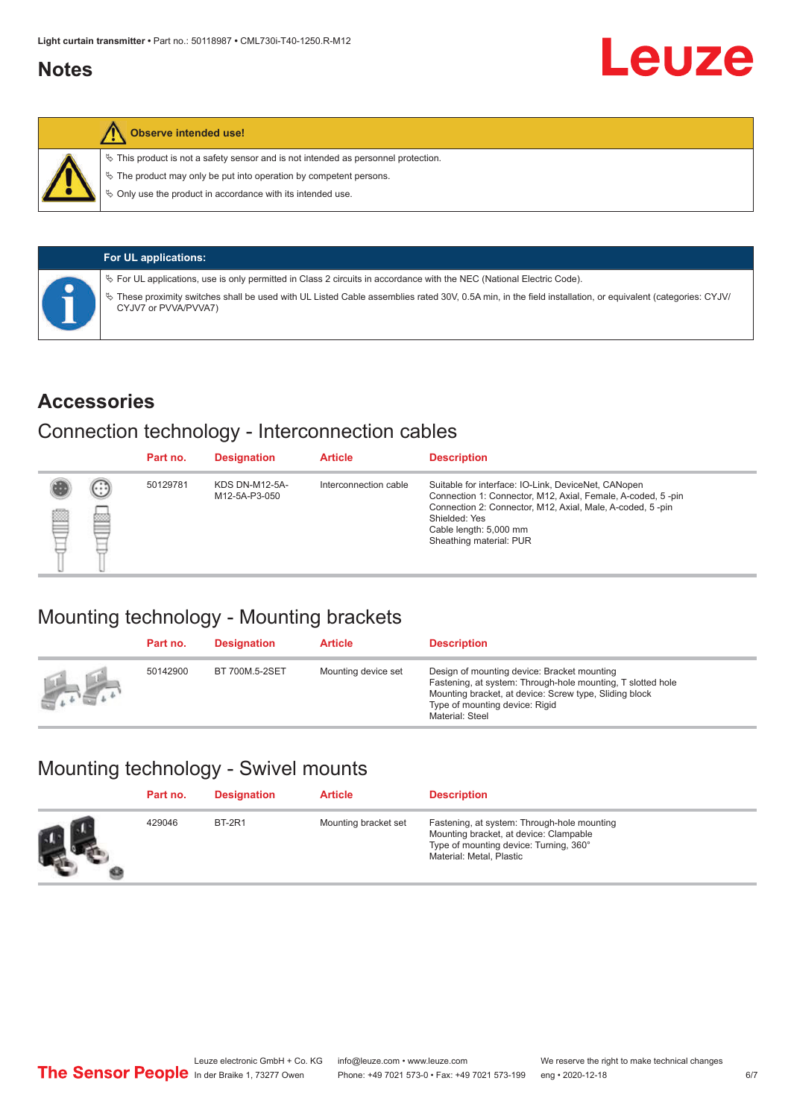## <span id="page-5-0"></span>**Notes**

#### **Observe intended use!**

 $\%$  This product is not a safety sensor and is not intended as personnel protection.

 $\%$  The product may only be put into operation by competent persons.

 $\%$  Only use the product in accordance with its intended use.

| <b>For UL applications:</b>                                                                                                                                                     |
|---------------------------------------------------------------------------------------------------------------------------------------------------------------------------------|
| $\%$ For UL applications, use is only permitted in Class 2 circuits in accordance with the NEC (National Electric Code).                                                        |
| These proximity switches shall be used with UL Listed Cable assemblies rated 30V, 0.5A min, in the field installation, or equivalent (categories: CYJV/<br>CYJV7 or PVVA/PVVA7) |

### **Accessories**

## Connection technology - Interconnection cables

|   |         | Part no. | <b>Designation</b>                     | <b>Article</b>        | <b>Description</b>                                                                                                                                                                                                                                    |
|---|---------|----------|----------------------------------------|-----------------------|-------------------------------------------------------------------------------------------------------------------------------------------------------------------------------------------------------------------------------------------------------|
| Ø | ⊙<br>p₫ | 50129781 | <b>KDS DN-M12-5A-</b><br>M12-5A-P3-050 | Interconnection cable | Suitable for interface: IO-Link, DeviceNet, CANopen<br>Connection 1: Connector, M12, Axial, Female, A-coded, 5-pin<br>Connection 2: Connector, M12, Axial, Male, A-coded, 5-pin<br>Shielded: Yes<br>Cable length: 5,000 mm<br>Sheathing material: PUR |

## Mounting technology - Mounting brackets

|               | Part no. | <b>Designation</b> | <b>Article</b>      | <b>Description</b>                                                                                                                                                                                                        |
|---------------|----------|--------------------|---------------------|---------------------------------------------------------------------------------------------------------------------------------------------------------------------------------------------------------------------------|
| <b>Altres</b> | 50142900 | BT 700M.5-2SET     | Mounting device set | Design of mounting device: Bracket mounting<br>Fastening, at system: Through-hole mounting, T slotted hole<br>Mounting bracket, at device: Screw type, Sliding block<br>Type of mounting device: Rigid<br>Material: Steel |

## Mounting technology - Swivel mounts

| Part no. | <b>Designation</b> | <b>Article</b>       | <b>Description</b>                                                                                                                                          |
|----------|--------------------|----------------------|-------------------------------------------------------------------------------------------------------------------------------------------------------------|
| 429046   | <b>BT-2R1</b>      | Mounting bracket set | Fastening, at system: Through-hole mounting<br>Mounting bracket, at device: Clampable<br>Type of mounting device: Turning, 360°<br>Material: Metal, Plastic |

Leuze